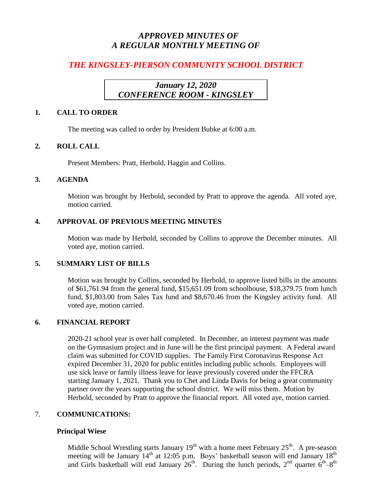# *APPROVED MINUTES OF A REGULAR MONTHLY MEETING OF*

# *THE KINGSLEY-PIERSON COMMUNITY SCHOOL DISTRICT*

# *January 12, 2020 CONFERENCE ROOM - KINGSLEY*

## **1. CALL TO ORDER**

The meeting was called to order by President Bubke at 6:00 a.m.

# **2. ROLL CALL**

Present Members: Pratt, Herbold, Haggin and Collins.

## **3. AGENDA**

Motion was brought by Herbold, seconded by Pratt to approve the agenda. All voted aye, motion carried.

# **4. APPROVAL OF PREVIOUS MEETING MINUTES**

Motion was made by Herbold, seconded by Collins to approve the December minutes. All voted aye, motion carried.

# **5. SUMMARY LIST OF BILLS**

Motion was brought by Collins, seconded by Herbold, to approve listed bills in the amounts of \$61,761.94 from the general fund, \$15,651.09 from schoolhouse, \$18,379.75 from lunch fund, \$1,803.00 from Sales Tax fund and \$8,670.46 from the Kingsley activity fund. All voted aye, motion carried.

# **6. FINANCIAL REPORT**

2020-21 school year is over half completed. In December, an interest payment was made on the Gymnasium project and in June will be the first principal payment. A Federal award claim was submitted for COVID supplies. The Family First Coronavirus Response Act expired December 31, 2020 for public entitles including public schools. Employees will use sick leave or family illness leave for leave previously covered under the FFCRA starting January 1, 2021. Thank you to Chet and Linda Davis for being a great community partner over the years supporting the school district. We will miss them. Motion by Herbold, seconded by Pratt to approve the financial report. All voted aye, motion carried.

# 7. **COMMUNICATIONS:**

# **Principal Wiese**

Middle School Wrestling starts January  $19<sup>th</sup>$  with a home meet February  $25<sup>th</sup>$ . A pre-season meeting will be January  $14<sup>th</sup>$  at 12:05 p.m. Boys' basketball season will end January  $18<sup>th</sup>$ and Girls basketball will end January  $26^{th}$ . During the lunch periods,  $2^{nd}$  quarter  $6^{th}-8^{th}$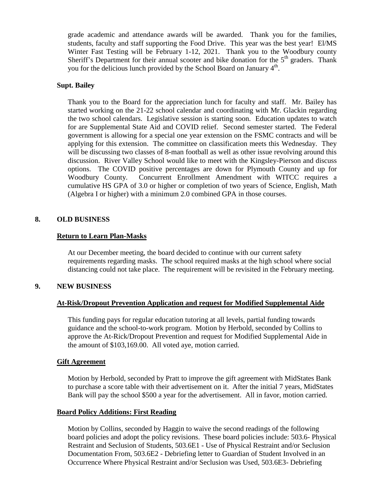grade academic and attendance awards will be awarded. Thank you for the families, students, faculty and staff supporting the Food Drive. This year was the best year! El/MS Winter Fast Testing will be February 1-12, 2021. Thank you to the Woodbury county Sheriff's Department for their annual scooter and bike donation for the  $5<sup>th</sup>$  graders. Thank you for the delicious lunch provided by the School Board on January 4<sup>th</sup>.

#### **Supt. Bailey**

Thank you to the Board for the appreciation lunch for faculty and staff. Mr. Bailey has started working on the 21-22 school calendar and coordinating with Mr. Glackin regarding the two school calendars. Legislative session is starting soon. Education updates to watch for are Supplemental State Aid and COVID relief. Second semester started. The Federal government is allowing for a special one year extension on the FSMC contracts and will be applying for this extension. The committee on classification meets this Wednesday. They will be discussing two classes of 8-man football as well as other issue revolving around this discussion. River Valley School would like to meet with the Kingsley-Pierson and discuss options. The COVID positive percentages are down for Plymouth County and up for Woodbury County. Concurrent Enrollment Amendment with WITCC requires a cumulative HS GPA of 3.0 or higher or completion of two years of Science, English, Math (Algebra I or higher) with a minimum 2.0 combined GPA in those courses.

#### **8. OLD BUSINESS**

#### **Return to Learn Plan-Masks**

At our December meeting, the board decided to continue with our current safety requirements regarding masks. The school required masks at the high school where social distancing could not take place. The requirement will be revisited in the February meeting.

#### **9. NEW BUSINESS**

#### **At-Risk/Dropout Prevention Application and request for Modified Supplemental Aide**

This funding pays for regular education tutoring at all levels, partial funding towards guidance and the school-to-work program. Motion by Herbold, seconded by Collins to approve the At-Rick/Dropout Prevention and request for Modified Supplemental Aide in the amount of \$103,169.00. All voted aye, motion carried.

#### **Gift Agreement**

Motion by Herbold, seconded by Pratt to improve the gift agreement with MidStates Bank to purchase a score table with their advertisement on it. After the initial 7 years, MidStates Bank will pay the school \$500 a year for the advertisement. All in favor, motion carried.

#### **Board Policy Additions: First Reading**

Motion by Collins, seconded by Haggin to waive the second readings of the following board policies and adopt the policy revisions. These board policies include: 503.6- Physical Restraint and Seclusion of Students, 503.6E1 - Use of Physical Restraint and/or Seclusion Documentation From, 503.6E2 - Debriefing letter to Guardian of Student Involved in an Occurrence Where Physical Restraint and/or Seclusion was Used, 503.6E3- Debriefing